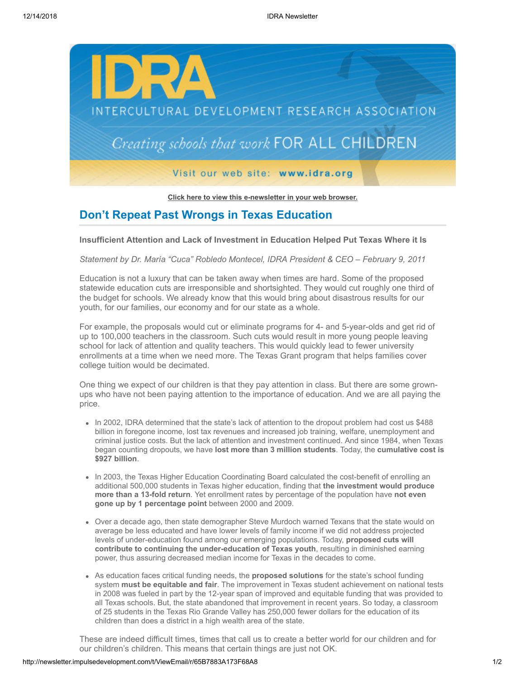

**[Click here to view this e-newsletter in your web browser.](http://newsletter.impulsedevelopment.com/t/r/e/yhhiidl/l/)**

## **Don't Repeat Past Wrongs in Texas Education**

## **Insufficient Attention and Lack of Investment in Education Helped Put Texas Where it Is**

*Statement by Dr. María "Cuca" Robledo Montecel, IDRA President & CEO – February 9, 2011*

Education is not a luxury that can be taken away when times are hard. Some of the proposed statewide education cuts are irresponsible and shortsighted. They would cut roughly one third of the budget for schools. We already know that this would bring about disastrous results for our youth, for our families, our economy and for our state as a whole.

For example, the proposals would cut or eliminate programs for 4- and 5-year-olds and get rid of up to 100,000 teachers in the classroom. Such cuts would result in more young people leaving school for lack of attention and quality teachers. This would quickly lead to fewer university enrollments at a time when we need more. The Texas Grant program that helps families cover college tuition would be decimated.

One thing we expect of our children is that they pay attention in class. But there are some grownups who have not been paying attention to the importance of education. And we are all paying the price.

- In 2002, IDRA determined that the state's lack of attention to the dropout problem had cost us \$488 billion in foregone income, lost tax revenues and increased job training, welfare, unemployment and criminal justice costs. But the lack of attention and investment continued. And since 1984, when Texas began counting dropouts, we have **lost more than 3 million students**. Today, the **cumulative cost is \$927 billion**.
- In 2003, the Texas Higher Education Coordinating Board calculated the cost-benefit of enrolling an additional 500,000 students in Texas higher education, finding that **the investment would produce more than a 13-fold return**. Yet enrollment rates by percentage of the population have **not even gone up by 1 percentage point** between 2000 and 2009.
- Over a decade ago, then state demographer Steve Murdoch warned Texans that the state would on average be less educated and have lower levels of family income if we did not address projected levels of under-education found among our emerging populations. Today, **proposed cuts will contribute to continuing the under-education of Texas youth**, resulting in diminished earning power, thus assuring decreased median income for Texas in the decades to come.
- As education faces critical funding needs, the **proposed solutions** for the state's school funding system **must be equitable and fair**. The improvement in Texas student achievement on national tests in 2008 was fueled in part by the 12-year span of improved and equitable funding that was provided to all Texas schools. But, the state abandoned that improvement in recent years. So today, a classroom of 25 students in the Texas Rio Grande Valley has 250,000 fewer dollars for the education of its children than does a district in a high wealth area of the state.

These are indeed difficult times, times that call us to create a better world for our children and for our children's children. This means that certain things are just not OK.